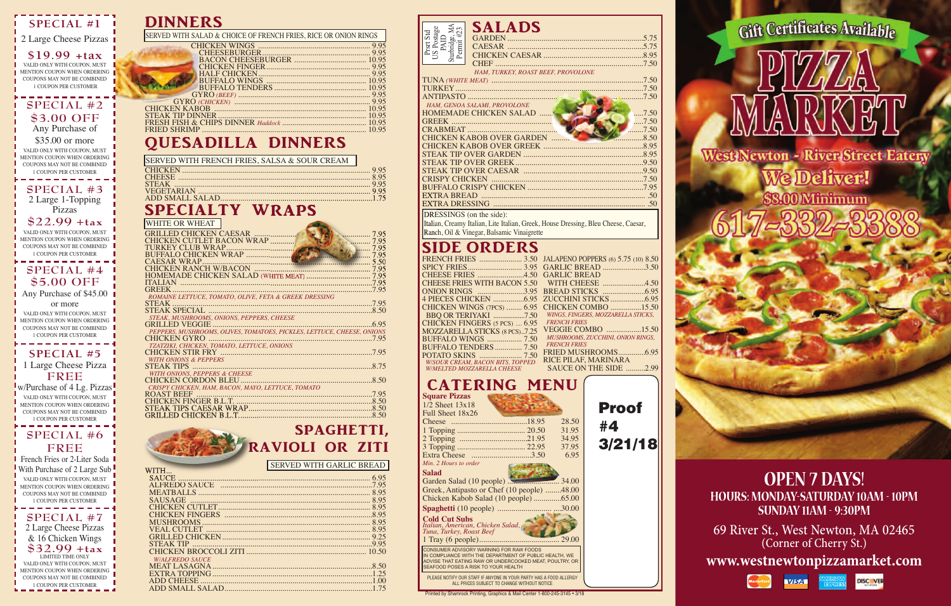DINNERS

# QUESADILLA DINNERS

# SpECIALTy WRApS

| SERVED WITH SALAD & CHOICE OF FRENCH FRIES, RICE OR ONION RINGS |  |
|-----------------------------------------------------------------|--|
|                                                                 |  |
|                                                                 |  |
|                                                                 |  |
|                                                                 |  |
|                                                                 |  |
|                                                                 |  |
|                                                                 |  |
|                                                                 |  |
|                                                                 |  |
|                                                                 |  |
|                                                                 |  |
|                                                                 |  |
|                                                                 |  |
|                                                                 |  |

## SpAGhETTI, RAvIOLI OR ZITI

| WHITE OR WHEAT                             |                                                                        |               |
|--------------------------------------------|------------------------------------------------------------------------|---------------|
| GRILLED CHICKEN CAESAR                     |                                                                        | 7.95          |
| CHICKEN CUTLET BACON WRAP                  |                                                                        | $\ldots$ 7.95 |
|                                            |                                                                        | 7.95          |
|                                            |                                                                        | 1.11          |
|                                            |                                                                        |               |
|                                            |                                                                        |               |
|                                            |                                                                        |               |
|                                            |                                                                        |               |
|                                            | ROMAINE LETTUCE, TOMATO, OLIVE, FETA & GREEK DRESSING                  |               |
|                                            |                                                                        |               |
|                                            |                                                                        |               |
| STEAK, MUSHROOMS, ONIONS, PEPPERS, CHEESE  |                                                                        |               |
|                                            |                                                                        |               |
|                                            | PEPPERS, MUSHROOMS, OLIVES, TOMATOES, PICKLES, LETTUCE, CHEESE, ONIONS |               |
| TZATZIKI, CHICKEN, TOMATO, LETTUCE, ONIONS |                                                                        |               |
|                                            |                                                                        | 7.95          |
| <b>WITH ONIONS &amp; PEPPERS</b>           |                                                                        |               |
|                                            |                                                                        |               |
| <b>WITH ONIONS, PEPPERS &amp; CHEESE</b>   |                                                                        |               |
|                                            |                                                                        | .8.50         |
|                                            | CRISPY CHICKEN, HAM, BACON, MAYO, LETTUCE, TOMATO                      |               |
| ROAST BEEF                                 |                                                                        |               |
|                                            |                                                                        |               |
|                                            |                                                                        |               |
|                                            |                                                                        |               |

| <b>WITH</b>           |  |
|-----------------------|--|
|                       |  |
|                       |  |
|                       |  |
|                       |  |
|                       |  |
|                       |  |
|                       |  |
|                       |  |
|                       |  |
|                       |  |
|                       |  |
| <b>WALFREDO SAUCE</b> |  |
|                       |  |
|                       |  |
|                       |  |
|                       |  |
|                       |  |

**SPECIAL #5** 1 Large Cheese Pizza **FREE** w/Purchase of 4 Lg. Pizzas

**French Fries or 2-Liter Soda** With Purchase of 2 Large Sub -VALID ONLY WITH COUPON, MUST MENTION COUPON WHEN ORDERING COUPONS MAY NOT BE COMBINED 1 COUPON PER CUSTOMER **SPECIAL #7** 2 Large Cheese Pizzas & 16 Chicken Wings

#### SIDE ORDERS

Ranch, Oil & Vinegar, Balsamic Vinaigrette

SERVED WITH GARLIC BREAD

SERVED WITH FRENCH FRIES, SALSA & SOUR CREAM

| <b>SALADS</b><br>Prsrt Std<br>US Postage<br>PAID<br>Sturbridge, MA<br>Sturbridge, MA<br>Permit #23 |
|----------------------------------------------------------------------------------------------------|
|                                                                                                    |
|                                                                                                    |
|                                                                                                    |
|                                                                                                    |
| HAM, TURKEY, ROAST BEEF, PROVOLONE                                                                 |
|                                                                                                    |
|                                                                                                    |
| $\ldots$ . 7.50                                                                                    |
| HAM, GENOA SALAMI, PROVOLONE                                                                       |
| <b>HOMEMADE CHICKEN SALAD </b><br>$\dots$ .7.50                                                    |
| $\ldots$ .7.50                                                                                     |
| 7,50                                                                                               |
| <b>CHICKEN KABOB OVER GARDEN </b><br>$\ldots \ldots \ldots \ldots$ 8.50                            |
|                                                                                                    |
|                                                                                                    |
|                                                                                                    |
|                                                                                                    |
|                                                                                                    |
|                                                                                                    |
|                                                                                                    |
|                                                                                                    |
| DRESSINGS (on the side):                                                                           |
| Italian, Creamy Italian, Lite Italian, Greek, House Dressing, Bleu Cheese, Caesar,                 |

|                                         | FRENCH FRIES  3.50 JALAPENO POPPERS (6) 5.75 (10) 8.50 |
|-----------------------------------------|--------------------------------------------------------|
|                                         |                                                        |
|                                         |                                                        |
|                                         | CHEESE FRIES WITH BACON 5.50 WITH CHEESE 4.50          |
|                                         |                                                        |
|                                         |                                                        |
|                                         | CHICKEN WINGS (7PCS)  6.95 CHICKEN COMBO 15.50         |
|                                         | WINGS, FINGERS, MOZZARELLA STICKS,                     |
| CHICKEN FINGERS (5 PCS)  6.95           | <b>FRENCH FRIES</b>                                    |
| <b>MOZZARELLA STICKS (8 PCS)7.25</b>    | VEGGIE COMBO 15.50                                     |
| <b>BUFFALO WINGS  7.50</b>              | MUSHROOMS, ZUCCHINI, ONION RINGS,                      |
| <b>BUFFALO TENDERS</b> 7.50             | <b>FRENCH FRIES</b>                                    |
|                                         |                                                        |
| <b>W/SOUR CREAM, BACON BITS, TOPPED</b> | RICE PILAF, MARINARA                                   |
| W/MELTED MOZZARELLA CHEESE              | SAUCE ON THE SIDE 2.99                                 |

CONSUMER ADVISORY WARNING FOR RAW FOODS IN COMPLIANCE WITH THE DEPARTMENT OF PUBLIC HEALTH, WE **Spaghetti** (10 people) ................................30.00 **Cold Cut Subs** *Italian, American, Chicken Salad, Tuna, Turkey, Roast Beef* 1 Tray (6 people)........................................ 29.00

ADVISE THAT EATING RAW OR UNDERCOOKED MEAT, POULTRY, OR SEAFOOD POSES A RISK TO YOUR HEALTH PLEASE NOTIFY OUR STAFF IF ANYONE IN YOUR PARTY HAS A FOOD ALLERGY ALL PRICES SUBJECT TO CHANGE WITHOUT NOTICE

Printed by Shamrock Printing, Graphics & Mail Center 1-800-245-3145 • 3/18

**www.westnewtonpizzamarket.com**











#### **SPECIAL #1**

2 Large Cheese Pizzas

**\$19.99 +tax** VALID ONLY WITH COUPON, MUST MENTION COUPON WHEN ORDERING COUPONS MAY NOT BE COMBINED 1 COUPON PER CUSTOMER

**SPECIAL #2 \$3.00 OFF**

Any Purchase of

\$35.00 or more VALID ONLY WITH COUPON, MUST MENTION COUPON WHEN ORDERING COUPONS MAY NOT BE COMBINED 1 COUPON PER CUSTOMER

**SPECIAL #3** 2 Large 1-Topping Pizzas

**\$22.99 +tax**

VALID ONLY WITH COUPON, MUST MENTION COUPON WHEN ORDERING COUPONS MAY NOT BE COMBINED 1 COUPON PER CUSTOMER

**SPECIAL #4 \$5.00 OFF**

Any Purchase of \$45.00

or more VALID ONLY WITH COUPON, MUST MENTION COUPON WHEN ORDERING COUPONS MAY NOT BE COMBINED 1 COUPON PER CUSTOMER

VALID ONLY WITH COUPON, MUST MENTION COUPON WHEN ORDERING COUPONS MAY NOT BE COMBINED 1 COUPON PER CUSTOMER

#### **SPECIAL #6 FREE**

**\$32.99 +tax** LIMITED TIME ONLY VALID ONLY WITH COUPON, MUST MENTION COUPON WHEN ORDERING COUPONS MAY NOT BE COMBINED

1 COUPON PER CUSTOMER

**OPEN 7 DAYS! HOURS: MONDAY-SATURDAY 10AM - 10PM SUNDAY 11AM - 9:30PM**

69 River St., West Newton, MA 02465 (Corner of Cherry St.)

**Proof #4 3/21/18**



Gift Certificates Available



We Deliver! \$3.00 Minimum